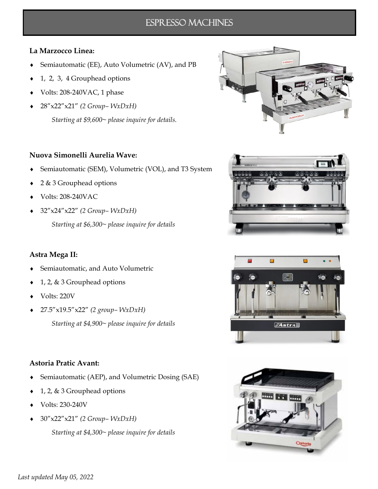## Espresso Machines

### **La Marzocco Linea:**

- Semiautomatic (EE), Auto Volumetric (AV), and PB
- $\bullet$  1, 2, 3, 4 Grouphead options
- Volts: 208-240VAC, 1 phase
- 28"x22"x21" *(2 Group– WxDxH)*

*Starting at \$9,600~ please inquire for details.*

#### **Nuova Simonelli Aurelia Wave:**

- Semiautomatic (SEM), Volumetric (VOL), and T3 System
- ◆ 2 & 3 Grouphead options
- Volts: 208-240VAC
- 32"x24"x22" *(2 Group– WxDxH)*

*Starting at \$6,300~ please inquire for details*

#### **Astra Mega II:**

- Semiautomatic, and Auto Volumetric
- 1, 2, & 3 Grouphead options
- Volts: 220V
- 27.5"x19.5"x22" *(2 group– WxDxH)*

*Starting at \$4,900~ please inquire for details*

### **Astoria Pratic Avant:**

- Semiautomatic (AEP), and Volumetric Dosing (SAE)
- $\bullet$  1, 2, & 3 Grouphead options
- Volts: 230-240V
- 30"x22"x21" *(2 Group– WxDxH)*

*Starting at \$4,300~ please inquire for details*







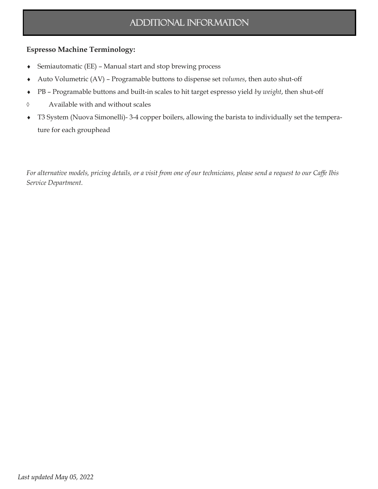# Additional information

## **Espresso Machine Terminology:**

- Semiautomatic (EE) Manual start and stop brewing process
- Auto Volumetric (AV) Programable buttons to dispense set *volumes*, then auto shut-off
- PB Programable buttons and built-in scales to hit target espresso yield *by weight*, then shut-off
- Available with and without scales
- T3 System (Nuova Simonelli)- 3-4 copper boilers, allowing the barista to individually set the temperature for each grouphead

*For alternative models, pricing details, or a visit from one of our technicians, please send a request to our Caffe Ibis Service Department.*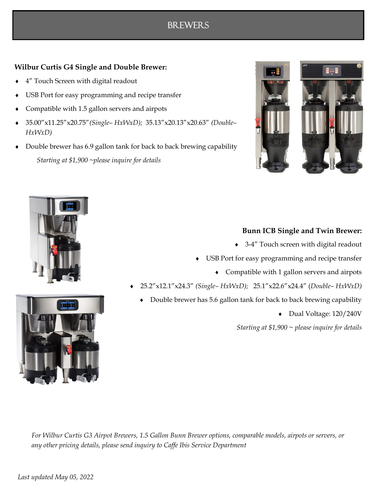## **Wilbur Curtis G4 Single and Double Brewer:**

- 4" Touch Screen with digital readout
- USB Port for easy programming and recipe transfer
- Compatible with 1.5 gallon servers and airpots
- 35.00"x11.25"x20.75"*(Single– HxWxD);* 35.13"x20.13"x20.63" *(Double– HxWxD)*
- Double brewer has 6.9 gallon tank for back to back brewing capability *Starting at \$1,900 ~please inquire for details*







### **Bunn ICB Single and Twin Brewer:**

- ◆ 3-4″ Touch screen with digital readout
- USB Port for easy programming and recipe transfer
	- Compatible with 1 gallon servers and airpots
- 25.2"x12.1"x24.3" *(Single– HxWxD);* 25.1"x22.6"x24.4" (*Double– HxWxD)*
	- Double brewer has 5.6 gallon tank for back to back brewing capability
		- Dual Voltage: 120/240V

*Starting at \$1,900 ~ please inquire for details*

*For Wilbur Curtis G3 Airpot Brewers, 1.5 Gallon Bunn Brewer options, comparable models, airpots or servers, or any other pricing details, please send inquiry to Caffe Ibis Service Department*

# **BREWERS**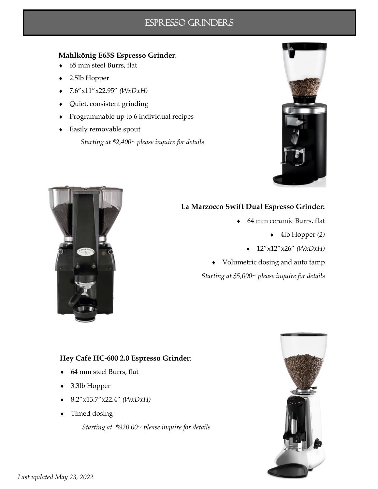## Espresso grinders

### **Mahlkönig E65S Espresso Grinder**:

- 65 mm steel Burrs, flat
- 2.5lb Hopper
- 7.6"x11"x22.95" *(WxDxH)*
- Quiet, consistent grinding
- Programmable up to 6 individual recipes
- Easily removable spout *Starting at \$2,400~ please inquire for details*





## **La Marzocco Swift Dual Espresso Grinder:**

- - 64 mm ceramic Burrs, flat
		- 4lb Hopper *(2)*
		- 12"x12"x26" *(WxDxH)*
- Volumetric dosing and auto tamp

*Starting at \$5,000~ please inquire for details*

## **Hey Café HC-600 2.0 Espresso Grinder**:

- 64 mm steel Burrs, flat
- 3.3lb Hopper
- 8.2"x13.7"x22.4" *(WxDxH)*
- Timed dosing

*Starting at \$920.00~ please inquire for details*

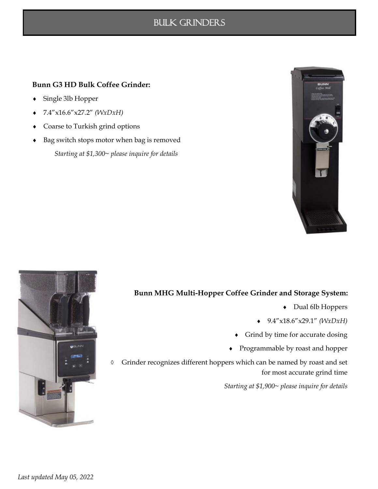## Bulk grinders

### **Bunn G3 HD Bulk Coffee Grinder:**

- Single 3lb Hopper
- 7.4"x16.6"x27.2" *(WxDxH)*
- Coarse to Turkish grind options
- Bag switch stops motor when bag is removed *Starting at \$1,300~ please inquire for details*





## **Bunn MHG Multi-Hopper Coffee Grinder and Storage System:**

- Dual 6lb Hoppers
- 9.4"x18.6"x29.1" *(WxDxH)*
- Grind by time for accurate dosing
- Programmable by roast and hopper

 Grinder recognizes different hoppers which can be named by roast and set for most accurate grind time

*Starting at \$1,900~ please inquire for details*